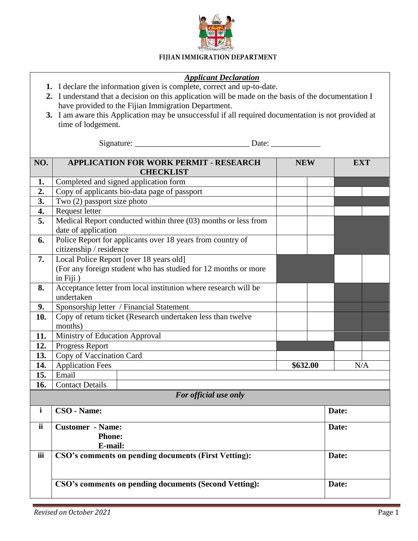

## FIJIAN IMMIGRATION DEPARTMENT

## *Applicant Declaration*

- **1.** I declare the information given is complete, correct and up-to-date.
- **2.** I understand that a decision on this application will be made on the basis of the documentation I have provided to the Fijian Immigration Department.
- **3.** I am aware this Application may be unsuccessful if all required documentation is not provided at time of lodgement.

Signature: \_\_\_\_\_\_\_\_\_\_\_\_\_\_\_\_\_\_\_\_\_\_\_\_\_\_\_\_ Date: \_\_\_\_\_\_\_\_\_\_\_\_

| NO.                   | <b>APPLICATION FOR WORK PERMIT - RESEARCH</b><br><b>CHECKLIST</b>                     | <b>NEW</b> | <b>EXT</b> |  |
|-----------------------|---------------------------------------------------------------------------------------|------------|------------|--|
| 1.                    | Completed and signed application form                                                 |            |            |  |
| 2.                    | Copy of applicants bio-data page of passport                                          |            |            |  |
| 3.                    | Two (2) passport size photo                                                           |            |            |  |
| 4.                    | Request letter                                                                        |            |            |  |
| 5.                    | Medical Report conducted within three (03) months or less from                        |            |            |  |
|                       | date of application                                                                   |            |            |  |
| 6.                    | Police Report for applicants over 18 years from country of<br>citizenship / residence |            |            |  |
| 7.                    | Local Police Report [over 18 years old]                                               |            |            |  |
|                       | (For any foreign student who has studied for 12 months or more                        |            |            |  |
|                       | in Fiji)                                                                              |            |            |  |
| 8.                    | Acceptance letter from local institution where research will be                       |            |            |  |
|                       | undertaken                                                                            |            |            |  |
| 9.                    | Sponsorship letter / Financial Statement                                              |            |            |  |
| 10.                   | Copy of return ticket (Research undertaken less than twelve                           |            |            |  |
|                       | months)                                                                               |            |            |  |
| 11.                   | Ministry of Education Approval                                                        |            |            |  |
| 12.                   | Progress Report                                                                       |            |            |  |
| 13.                   | Copy of Vaccination Card                                                              |            |            |  |
| 14.                   | <b>Application Fees</b>                                                               | \$632.00   | N/A        |  |
| 15.                   | Email                                                                                 |            |            |  |
| 16.                   | <b>Contact Details</b>                                                                |            |            |  |
| For official use only |                                                                                       |            |            |  |
| $\mathbf{i}$          | CSO - Name:                                                                           |            | Date:      |  |
| <i>ii</i>             | <b>Customer - Name:</b>                                                               |            | Date:      |  |
|                       | <b>Phone:</b>                                                                         |            |            |  |
|                       | E-mail:                                                                               |            |            |  |
| iii                   | CSO's comments on pending documents (First Vetting):                                  |            | Date:      |  |
|                       |                                                                                       |            |            |  |
|                       | CSO's comments on pending documents (Second Vetting):                                 |            | Date:      |  |